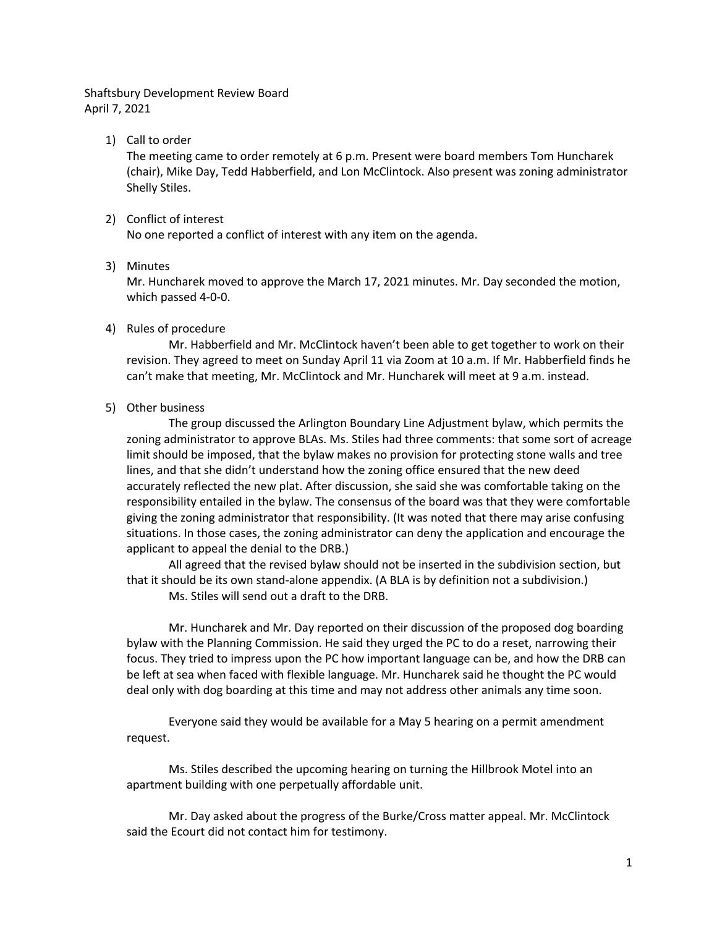## Shaftsbury Development Review Board April 7, 2021

1) Call to order

The meeting came to order remotely at 6 p.m. Present were board members Tom Huncharek (chair), Mike Day, Tedd Habberfield, and Lon McClintock. Also present was zoning administrator Shelly Stiles.

2) Conflict of interest

No one reported a conflict of interest with any item on the agenda.

3) Minutes

Mr. Huncharek moved to approve the March 17, 2021 minutes. Mr. Day seconded the motion, which passed 4-0-0.

4) Rules of procedure

Mr. Habberfield and Mr. McClintock haven't been able to get together to work on their revision. They agreed to meet on Sunday April 11 via Zoom at 10 a.m. If Mr. Habberfield finds he can't make that meeting, Mr. McClintock and Mr. Huncharek will meet at 9 a.m. instead.

5) Other business

The group discussed the Arlington Boundary Line Adjustment bylaw, which permits the zoning administrator to approve BLAs. Ms. Stiles had three comments: that some sort of acreage limit should be imposed, that the bylaw makes no provision for protecting stone walls and tree lines, and that she didn't understand how the zoning office ensured that the new deed accurately reflected the new plat. After discussion, she said she was comfortable taking on the responsibility entailed in the bylaw. The consensus of the board was that they were comfortable giving the zoning administrator that responsibility. (It was noted that there may arise confusing situations. In those cases, the zoning administrator can deny the application and encourage the applicant to appeal the denial to the DRB.)

All agreed that the revised bylaw should not be inserted in the subdivision section, but that it should be its own stand-alone appendix. (A BLA is by definition not a subdivision.)

Ms. Stiles will send out a draft to the DRB.

Mr. Huncharek and Mr. Day reported on their discussion of the proposed dog boarding bylaw with the Planning Commission. He said they urged the PC to do a reset, narrowing their focus. They tried to impress upon the PC how important language can be, and how the DRB can be left at sea when faced with flexible language. Mr. Huncharek said he thought the PC would deal only with dog boarding at this time and may not address other animals any time soon.

Everyone said they would be available for a May 5 hearing on a permit amendment request.

Ms. Stiles described the upcoming hearing on turning the Hillbrook Motel into an apartment building with one perpetually affordable unit.

Mr. Day asked about the progress of the Burke/Cross matter appeal. Mr. McClintock said the Ecourt did not contact him for testimony.